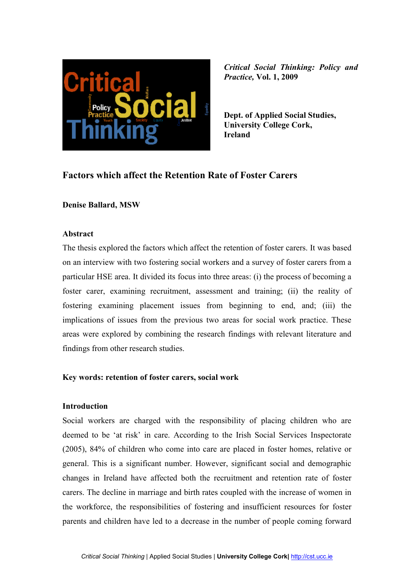

**Dept. of Applied Social Studies, University College Cork, Ireland** 

# **Factors which affect the Retention Rate of Foster Carers**

# **Denise Ballard, MSW**

#### **Abstract**

The thesis explored the factors which affect the retention of foster carers. It was based on an interview with two fostering social workers and a survey of foster carers from a particular HSE area. It divided its focus into three areas: (i) the process of becoming a foster carer, examining recruitment, assessment and training; (ii) the reality of fostering examining placement issues from beginning to end, and; (iii) the implications of issues from the previous two areas for social work practice. These areas were explored by combining the research findings with relevant literature and findings from other research studies.

#### **Key words: retention of foster carers, social work**

#### **Introduction**

Social workers are charged with the responsibility of placing children who are deemed to be 'at risk' in care. According to the Irish Social Services Inspectorate (2005), 84% of children who come into care are placed in foster homes, relative or general. This is a significant number. However, significant social and demographic changes in Ireland have affected both the recruitment and retention rate of foster carers. The decline in marriage and birth rates coupled with the increase of women in the workforce, the responsibilities of fostering and insufficient resources for foster parents and children have led to a decrease in the number of people coming forward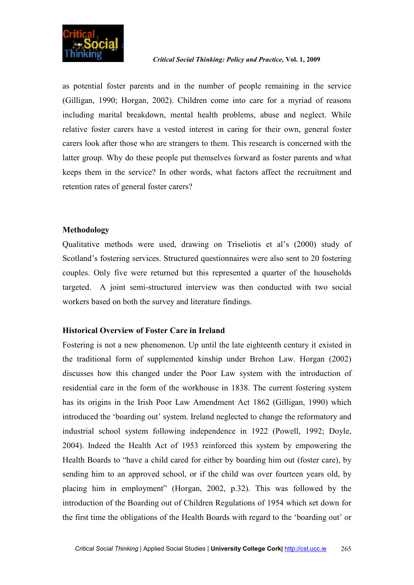

as potential foster parents and in the number of people remaining in the service (Gilligan, 1990; Horgan, 2002). Children come into care for a myriad of reasons including marital breakdown, mental health problems, abuse and neglect. While relative foster carers have a vested interest in caring for their own, general foster carers look after those who are strangers to them. This research is concerned with the latter group. Why do these people put themselves forward as foster parents and what keeps them in the service? In other words, what factors affect the recruitment and retention rates of general foster carers?

# **Methodology**

Qualitative methods were used, drawing on Triseliotis et al's (2000) study of Scotland's fostering services. Structured questionnaires were also sent to 20 fostering couples. Only five were returned but this represented a quarter of the households targeted. A joint semi-structured interview was then conducted with two social workers based on both the survey and literature findings.

# **Historical Overview of Foster Care in Ireland**

Fostering is not a new phenomenon. Up until the late eighteenth century it existed in the traditional form of supplemented kinship under Brehon Law. Horgan (2002) discusses how this changed under the Poor Law system with the introduction of residential care in the form of the workhouse in 1838. The current fostering system has its origins in the Irish Poor Law Amendment Act 1862 (Gilligan, 1990) which introduced the 'boarding out' system. Ireland neglected to change the reformatory and industrial school system following independence in 1922 (Powell, 1992; Doyle, 2004). Indeed the Health Act of 1953 reinforced this system by empowering the Health Boards to "have a child cared for either by boarding him out (foster care), by sending him to an approved school, or if the child was over fourteen years old, by placing him in employment" (Horgan, 2002, p.32). This was followed by the introduction of the Boarding out of Children Regulations of 1954 which set down for the first time the obligations of the Health Boards with regard to the 'boarding out' or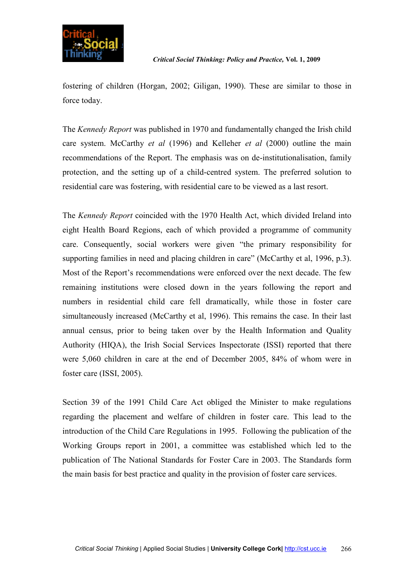

fostering of children (Horgan, 2002; Giligan, 1990). These are similar to those in force today.

The *Kennedy Report* was published in 1970 and fundamentally changed the Irish child care system. McCarthy *et al* (1996) and Kelleher *et al* (2000) outline the main recommendations of the Report. The emphasis was on de-institutionalisation, family protection, and the setting up of a child-centred system. The preferred solution to residential care was fostering, with residential care to be viewed as a last resort.

The *Kennedy Report* coincided with the 1970 Health Act, which divided Ireland into eight Health Board Regions, each of which provided a programme of community care. Consequently, social workers were given "the primary responsibility for supporting families in need and placing children in care" (McCarthy et al, 1996, p.3). Most of the Report's recommendations were enforced over the next decade. The few remaining institutions were closed down in the years following the report and numbers in residential child care fell dramatically, while those in foster care simultaneously increased (McCarthy et al, 1996). This remains the case. In their last annual census, prior to being taken over by the Health Information and Quality Authority (HIQA), the Irish Social Services Inspectorate (ISSI) reported that there were 5,060 children in care at the end of December 2005, 84% of whom were in foster care (ISSI, 2005).

Section 39 of the 1991 Child Care Act obliged the Minister to make regulations regarding the placement and welfare of children in foster care. This lead to the introduction of the Child Care Regulations in 1995. Following the publication of the Working Groups report in 2001, a committee was established which led to the publication of The National Standards for Foster Care in 2003. The Standards form the main basis for best practice and quality in the provision of foster care services.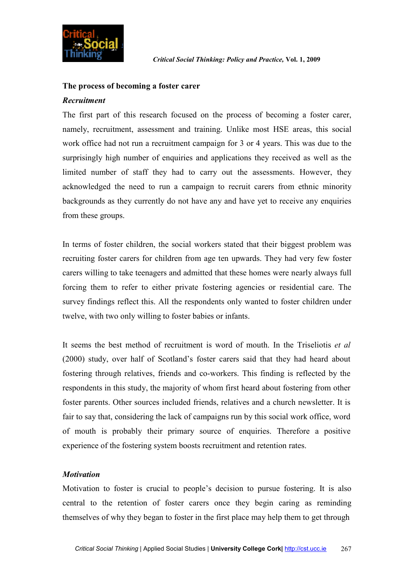

# **The process of becoming a foster carer**

#### *Recruitment*

The first part of this research focused on the process of becoming a foster carer, namely, recruitment, assessment and training. Unlike most HSE areas, this social work office had not run a recruitment campaign for 3 or 4 years. This was due to the surprisingly high number of enquiries and applications they received as well as the limited number of staff they had to carry out the assessments. However, they acknowledged the need to run a campaign to recruit carers from ethnic minority backgrounds as they currently do not have any and have yet to receive any enquiries from these groups.

In terms of foster children, the social workers stated that their biggest problem was recruiting foster carers for children from age ten upwards. They had very few foster carers willing to take teenagers and admitted that these homes were nearly always full forcing them to refer to either private fostering agencies or residential care. The survey findings reflect this. All the respondents only wanted to foster children under twelve, with two only willing to foster babies or infants.

It seems the best method of recruitment is word of mouth. In the Triseliotis *et al* (2000) study, over half of Scotland's foster carers said that they had heard about fostering through relatives, friends and co-workers. This finding is reflected by the respondents in this study, the majority of whom first heard about fostering from other foster parents. Other sources included friends, relatives and a church newsletter. It is fair to say that, considering the lack of campaigns run by this social work office, word of mouth is probably their primary source of enquiries. Therefore a positive experience of the fostering system boosts recruitment and retention rates.

#### *Motivation*

Motivation to foster is crucial to people's decision to pursue fostering. It is also central to the retention of foster carers once they begin caring as reminding themselves of why they began to foster in the first place may help them to get through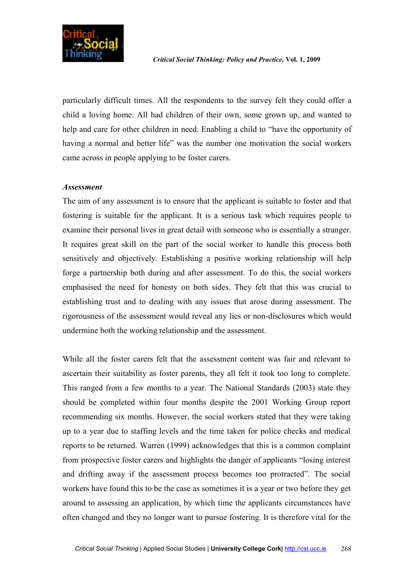

particularly difficult times. All the respondents to the survey felt they could offer a child a loving home. All had children of their own, some grown up, and wanted to help and care for other children in need. Enabling a child to "have the opportunity of having a normal and better life" was the number one motivation the social workers came across in people applying to be foster carers.

#### *Assessment*

The aim of any assessment is to ensure that the applicant is suitable to foster and that fostering is suitable for the applicant. It is a serious task which requires people to examine their personal lives in great detail with someone who is essentially a stranger. It requires great skill on the part of the social worker to handle this process both sensitively and objectively. Establishing a positive working relationship will help forge a partnership both during and after assessment. To do this, the social workers emphasised the need for honesty on both sides. They felt that this was crucial to establishing trust and to dealing with any issues that arose during assessment. The rigorousness of the assessment would reveal any lies or non-disclosures which would undermine both the working relationship and the assessment.

While all the foster carers felt that the assessment content was fair and relevant to ascertain their suitability as foster parents, they all felt it took too long to complete. This ranged from a few months to a year. The National Standards (2003) state they should be completed within four months despite the 2001 Working Group report recommending six months. However, the social workers stated that they were taking up to a year due to staffing levels and the time taken for police checks and medical reports to be returned. Warren (1999) acknowledges that this is a common complaint from prospective foster carers and highlights the danger of applicants "losing interest and drifting away if the assessment process becomes too protracted". The social workers have found this to be the case as sometimes it is a year or two before they get around to assessing an application, by which time the applicants circumstances have often changed and they no longer want to pursue fostering. It is therefore vital for the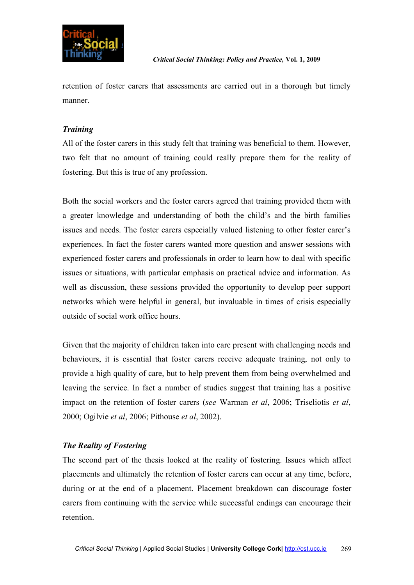

retention of foster carers that assessments are carried out in a thorough but timely manner.

# *Training*

All of the foster carers in this study felt that training was beneficial to them. However, two felt that no amount of training could really prepare them for the reality of fostering. But this is true of any profession.

Both the social workers and the foster carers agreed that training provided them with a greater knowledge and understanding of both the child's and the birth families issues and needs. The foster carers especially valued listening to other foster carer's experiences. In fact the foster carers wanted more question and answer sessions with experienced foster carers and professionals in order to learn how to deal with specific issues or situations, with particular emphasis on practical advice and information. As well as discussion, these sessions provided the opportunity to develop peer support networks which were helpful in general, but invaluable in times of crisis especially outside of social work office hours.

Given that the majority of children taken into care present with challenging needs and behaviours, it is essential that foster carers receive adequate training, not only to provide a high quality of care, but to help prevent them from being overwhelmed and leaving the service. In fact a number of studies suggest that training has a positive impact on the retention of foster carers (*see* Warman *et al*, 2006; Triseliotis *et al*, 2000; Ogilvie *et al*, 2006; Pithouse *et al*, 2002).

# *The Reality of Fostering*

The second part of the thesis looked at the reality of fostering. Issues which affect placements and ultimately the retention of foster carers can occur at any time, before, during or at the end of a placement. Placement breakdown can discourage foster carers from continuing with the service while successful endings can encourage their retention.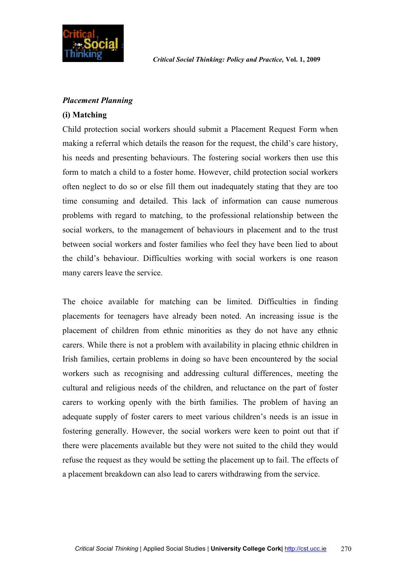

# *Placement Planning*

# **(i) Matching**

Child protection social workers should submit a Placement Request Form when making a referral which details the reason for the request, the child's care history, his needs and presenting behaviours. The fostering social workers then use this form to match a child to a foster home. However, child protection social workers often neglect to do so or else fill them out inadequately stating that they are too time consuming and detailed. This lack of information can cause numerous problems with regard to matching, to the professional relationship between the social workers, to the management of behaviours in placement and to the trust between social workers and foster families who feel they have been lied to about the child's behaviour. Difficulties working with social workers is one reason many carers leave the service.

The choice available for matching can be limited. Difficulties in finding placements for teenagers have already been noted. An increasing issue is the placement of children from ethnic minorities as they do not have any ethnic carers. While there is not a problem with availability in placing ethnic children in Irish families, certain problems in doing so have been encountered by the social workers such as recognising and addressing cultural differences, meeting the cultural and religious needs of the children, and reluctance on the part of foster carers to working openly with the birth families. The problem of having an adequate supply of foster carers to meet various children's needs is an issue in fostering generally. However, the social workers were keen to point out that if there were placements available but they were not suited to the child they would refuse the request as they would be setting the placement up to fail. The effects of a placement breakdown can also lead to carers withdrawing from the service.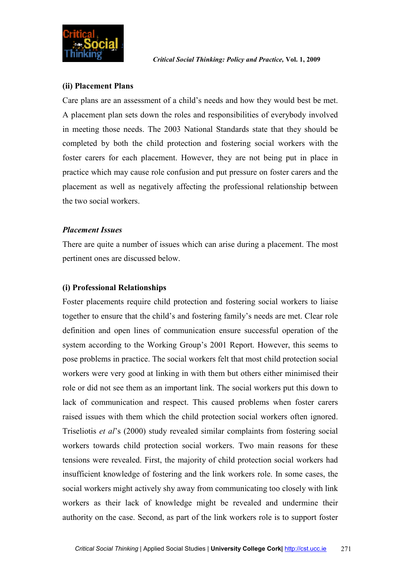

# **(ii) Placement Plans**

Care plans are an assessment of a child's needs and how they would best be met. A placement plan sets down the roles and responsibilities of everybody involved in meeting those needs. The 2003 National Standards state that they should be completed by both the child protection and fostering social workers with the foster carers for each placement. However, they are not being put in place in practice which may cause role confusion and put pressure on foster carers and the placement as well as negatively affecting the professional relationship between the two social workers.

# *Placement Issues*

There are quite a number of issues which can arise during a placement. The most pertinent ones are discussed below.

# **(i) Professional Relationships**

Foster placements require child protection and fostering social workers to liaise together to ensure that the child's and fostering family's needs are met. Clear role definition and open lines of communication ensure successful operation of the system according to the Working Group's 2001 Report. However, this seems to pose problems in practice. The social workers felt that most child protection social workers were very good at linking in with them but others either minimised their role or did not see them as an important link. The social workers put this down to lack of communication and respect. This caused problems when foster carers raised issues with them which the child protection social workers often ignored. Triseliotis *et al*'s (2000) study revealed similar complaints from fostering social workers towards child protection social workers. Two main reasons for these tensions were revealed. First, the majority of child protection social workers had insufficient knowledge of fostering and the link workers role. In some cases, the social workers might actively shy away from communicating too closely with link workers as their lack of knowledge might be revealed and undermine their authority on the case. Second, as part of the link workers role is to support foster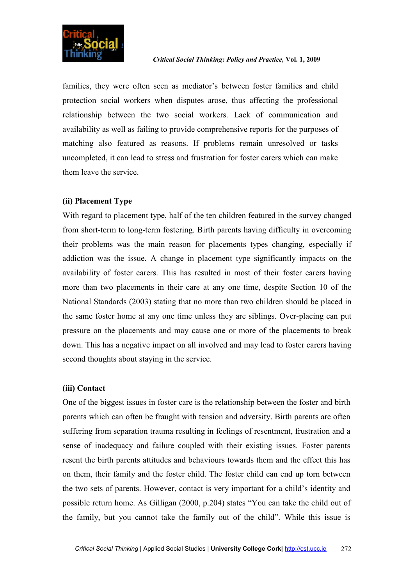

families, they were often seen as mediator's between foster families and child protection social workers when disputes arose, thus affecting the professional relationship between the two social workers. Lack of communication and availability as well as failing to provide comprehensive reports for the purposes of matching also featured as reasons. If problems remain unresolved or tasks uncompleted, it can lead to stress and frustration for foster carers which can make them leave the service.

#### **(ii) Placement Type**

With regard to placement type, half of the ten children featured in the survey changed from short-term to long-term fostering. Birth parents having difficulty in overcoming their problems was the main reason for placements types changing, especially if addiction was the issue. A change in placement type significantly impacts on the availability of foster carers. This has resulted in most of their foster carers having more than two placements in their care at any one time, despite Section 10 of the National Standards (2003) stating that no more than two children should be placed in the same foster home at any one time unless they are siblings. Over-placing can put pressure on the placements and may cause one or more of the placements to break down. This has a negative impact on all involved and may lead to foster carers having second thoughts about staying in the service.

#### **(iii) Contact**

One of the biggest issues in foster care is the relationship between the foster and birth parents which can often be fraught with tension and adversity. Birth parents are often suffering from separation trauma resulting in feelings of resentment, frustration and a sense of inadequacy and failure coupled with their existing issues. Foster parents resent the birth parents attitudes and behaviours towards them and the effect this has on them, their family and the foster child. The foster child can end up torn between the two sets of parents. However, contact is very important for a child's identity and possible return home. As Gilligan (2000, p.204) states "You can take the child out of the family, but you cannot take the family out of the child". While this issue is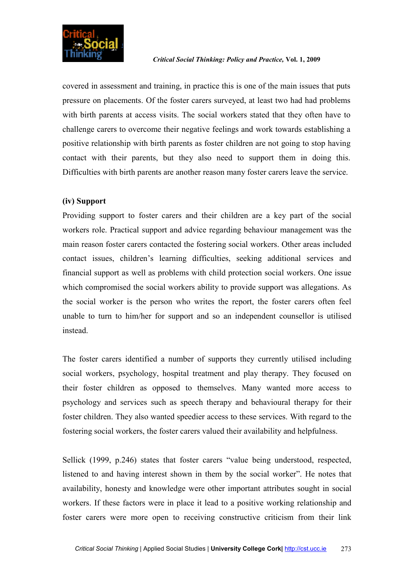

covered in assessment and training, in practice this is one of the main issues that puts pressure on placements. Of the foster carers surveyed, at least two had had problems with birth parents at access visits. The social workers stated that they often have to challenge carers to overcome their negative feelings and work towards establishing a positive relationship with birth parents as foster children are not going to stop having contact with their parents, but they also need to support them in doing this. Difficulties with birth parents are another reason many foster carers leave the service.

# **(iv) Support**

Providing support to foster carers and their children are a key part of the social workers role. Practical support and advice regarding behaviour management was the main reason foster carers contacted the fostering social workers. Other areas included contact issues, children's learning difficulties, seeking additional services and financial support as well as problems with child protection social workers. One issue which compromised the social workers ability to provide support was allegations. As the social worker is the person who writes the report, the foster carers often feel unable to turn to him/her for support and so an independent counsellor is utilised instead.

The foster carers identified a number of supports they currently utilised including social workers, psychology, hospital treatment and play therapy. They focused on their foster children as opposed to themselves. Many wanted more access to psychology and services such as speech therapy and behavioural therapy for their foster children. They also wanted speedier access to these services. With regard to the fostering social workers, the foster carers valued their availability and helpfulness.

Sellick (1999, p.246) states that foster carers "value being understood, respected, listened to and having interest shown in them by the social worker". He notes that availability, honesty and knowledge were other important attributes sought in social workers. If these factors were in place it lead to a positive working relationship and foster carers were more open to receiving constructive criticism from their link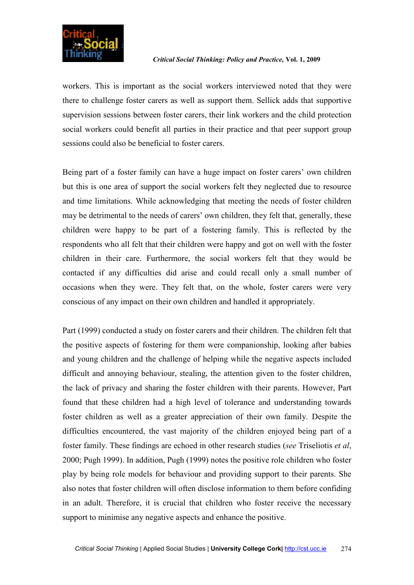

workers. This is important as the social workers interviewed noted that they were there to challenge foster carers as well as support them. Sellick adds that supportive supervision sessions between foster carers, their link workers and the child protection social workers could benefit all parties in their practice and that peer support group sessions could also be beneficial to foster carers.

Being part of a foster family can have a huge impact on foster carers' own children but this is one area of support the social workers felt they neglected due to resource and time limitations. While acknowledging that meeting the needs of foster children may be detrimental to the needs of carers' own children, they felt that, generally, these children were happy to be part of a fostering family. This is reflected by the respondents who all felt that their children were happy and got on well with the foster children in their care. Furthermore, the social workers felt that they would be contacted if any difficulties did arise and could recall only a small number of occasions when they were. They felt that, on the whole, foster carers were very conscious of any impact on their own children and handled it appropriately.

Part (1999) conducted a study on foster carers and their children. The children felt that the positive aspects of fostering for them were companionship, looking after babies and young children and the challenge of helping while the negative aspects included difficult and annoying behaviour, stealing, the attention given to the foster children, the lack of privacy and sharing the foster children with their parents. However, Part found that these children had a high level of tolerance and understanding towards foster children as well as a greater appreciation of their own family. Despite the difficulties encountered, the vast majority of the children enjoyed being part of a foster family. These findings are echoed in other research studies (*see* Triseliotis *et al*, 2000; Pugh 1999). In addition, Pugh (1999) notes the positive role children who foster play by being role models for behaviour and providing support to their parents. She also notes that foster children will often disclose information to them before confiding in an adult. Therefore, it is crucial that children who foster receive the necessary support to minimise any negative aspects and enhance the positive.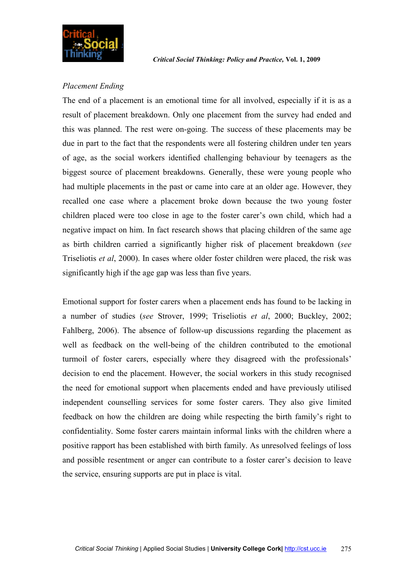

# *Placement Ending*

The end of a placement is an emotional time for all involved, especially if it is as a result of placement breakdown. Only one placement from the survey had ended and this was planned. The rest were on-going. The success of these placements may be due in part to the fact that the respondents were all fostering children under ten years of age, as the social workers identified challenging behaviour by teenagers as the biggest source of placement breakdowns. Generally, these were young people who had multiple placements in the past or came into care at an older age. However, they recalled one case where a placement broke down because the two young foster children placed were too close in age to the foster carer's own child, which had a negative impact on him. In fact research shows that placing children of the same age as birth children carried a significantly higher risk of placement breakdown (*see* Triseliotis *et al*, 2000). In cases where older foster children were placed, the risk was significantly high if the age gap was less than five years.

Emotional support for foster carers when a placement ends has found to be lacking in a number of studies (*see* Strover, 1999; Triseliotis *et al*, 2000; Buckley, 2002; Fahlberg, 2006). The absence of follow-up discussions regarding the placement as well as feedback on the well-being of the children contributed to the emotional turmoil of foster carers, especially where they disagreed with the professionals' decision to end the placement. However, the social workers in this study recognised the need for emotional support when placements ended and have previously utilised independent counselling services for some foster carers. They also give limited feedback on how the children are doing while respecting the birth family's right to confidentiality. Some foster carers maintain informal links with the children where a positive rapport has been established with birth family. As unresolved feelings of loss and possible resentment or anger can contribute to a foster carer's decision to leave the service, ensuring supports are put in place is vital.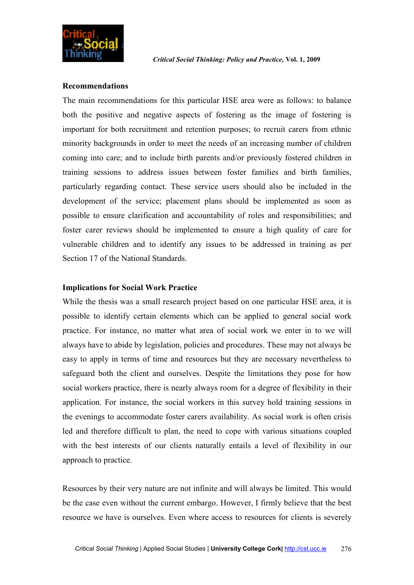

#### **Recommendations**

The main recommendations for this particular HSE area were as follows: to balance both the positive and negative aspects of fostering as the image of fostering is important for both recruitment and retention purposes; to recruit carers from ethnic minority backgrounds in order to meet the needs of an increasing number of children coming into care; and to include birth parents and/or previously fostered children in training sessions to address issues between foster families and birth families, particularly regarding contact. These service users should also be included in the development of the service; placement plans should be implemented as soon as possible to ensure clarification and accountability of roles and responsibilities; and foster carer reviews should be implemented to ensure a high quality of care for vulnerable children and to identify any issues to be addressed in training as per Section 17 of the National Standards.

# **Implications for Social Work Practice**

While the thesis was a small research project based on one particular HSE area, it is possible to identify certain elements which can be applied to general social work practice. For instance, no matter what area of social work we enter in to we will always have to abide by legislation, policies and procedures. These may not always be easy to apply in terms of time and resources but they are necessary nevertheless to safeguard both the client and ourselves. Despite the limitations they pose for how social workers practice, there is nearly always room for a degree of flexibility in their application. For instance, the social workers in this survey hold training sessions in the evenings to accommodate foster carers availability. As social work is often crisis led and therefore difficult to plan, the need to cope with various situations coupled with the best interests of our clients naturally entails a level of flexibility in our approach to practice.

Resources by their very nature are not infinite and will always be limited. This would be the case even without the current embargo. However, I firmly believe that the best resource we have is ourselves. Even where access to resources for clients is severely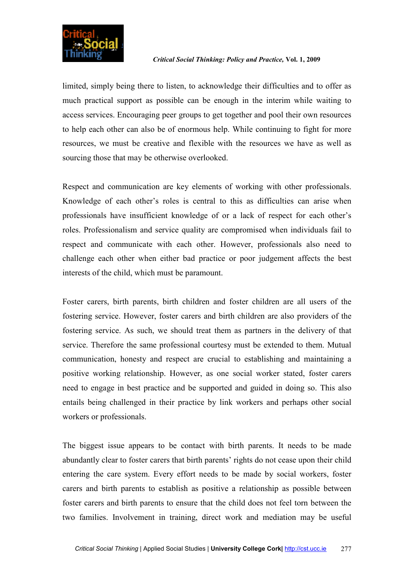

limited, simply being there to listen, to acknowledge their difficulties and to offer as much practical support as possible can be enough in the interim while waiting to access services. Encouraging peer groups to get together and pool their own resources to help each other can also be of enormous help. While continuing to fight for more resources, we must be creative and flexible with the resources we have as well as sourcing those that may be otherwise overlooked.

Respect and communication are key elements of working with other professionals. Knowledge of each other's roles is central to this as difficulties can arise when professionals have insufficient knowledge of or a lack of respect for each other's roles. Professionalism and service quality are compromised when individuals fail to respect and communicate with each other. However, professionals also need to challenge each other when either bad practice or poor judgement affects the best interests of the child, which must be paramount.

Foster carers, birth parents, birth children and foster children are all users of the fostering service. However, foster carers and birth children are also providers of the fostering service. As such, we should treat them as partners in the delivery of that service. Therefore the same professional courtesy must be extended to them. Mutual communication, honesty and respect are crucial to establishing and maintaining a positive working relationship. However, as one social worker stated, foster carers need to engage in best practice and be supported and guided in doing so. This also entails being challenged in their practice by link workers and perhaps other social workers or professionals.

The biggest issue appears to be contact with birth parents. It needs to be made abundantly clear to foster carers that birth parents' rights do not cease upon their child entering the care system. Every effort needs to be made by social workers, foster carers and birth parents to establish as positive a relationship as possible between foster carers and birth parents to ensure that the child does not feel torn between the two families. Involvement in training, direct work and mediation may be useful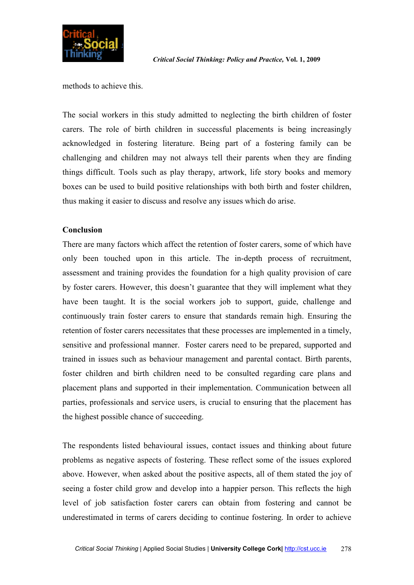

methods to achieve this.

The social workers in this study admitted to neglecting the birth children of foster carers. The role of birth children in successful placements is being increasingly acknowledged in fostering literature. Being part of a fostering family can be challenging and children may not always tell their parents when they are finding things difficult. Tools such as play therapy, artwork, life story books and memory boxes can be used to build positive relationships with both birth and foster children, thus making it easier to discuss and resolve any issues which do arise.

# **Conclusion**

There are many factors which affect the retention of foster carers, some of which have only been touched upon in this article. The in-depth process of recruitment, assessment and training provides the foundation for a high quality provision of care by foster carers. However, this doesn't guarantee that they will implement what they have been taught. It is the social workers job to support, guide, challenge and continuously train foster carers to ensure that standards remain high. Ensuring the retention of foster carers necessitates that these processes are implemented in a timely, sensitive and professional manner. Foster carers need to be prepared, supported and trained in issues such as behaviour management and parental contact. Birth parents, foster children and birth children need to be consulted regarding care plans and placement plans and supported in their implementation. Communication between all parties, professionals and service users, is crucial to ensuring that the placement has the highest possible chance of succeeding.

The respondents listed behavioural issues, contact issues and thinking about future problems as negative aspects of fostering. These reflect some of the issues explored above. However, when asked about the positive aspects, all of them stated the joy of seeing a foster child grow and develop into a happier person. This reflects the high level of job satisfaction foster carers can obtain from fostering and cannot be underestimated in terms of carers deciding to continue fostering. In order to achieve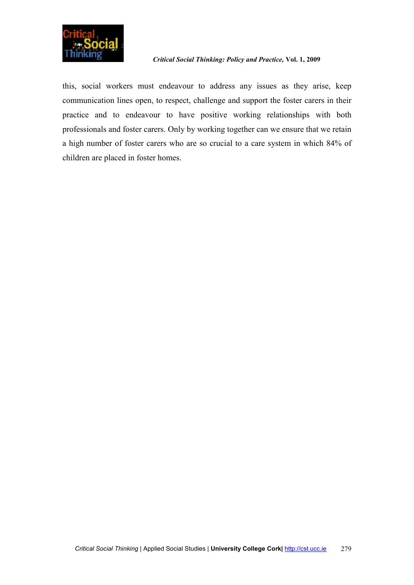

this, social workers must endeavour to address any issues as they arise, keep communication lines open, to respect, challenge and support the foster carers in their practice and to endeavour to have positive working relationships with both professionals and foster carers. Only by working together can we ensure that we retain a high number of foster carers who are so crucial to a care system in which 84% of children are placed in foster homes.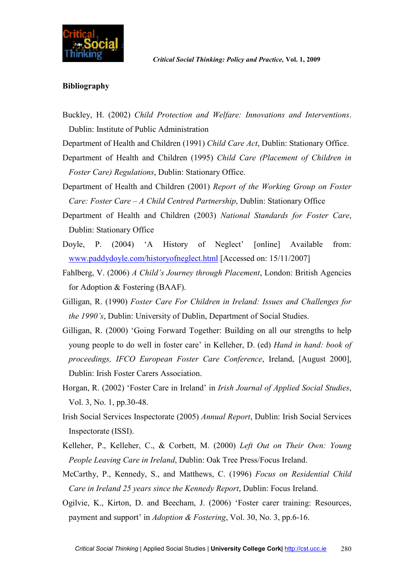

#### **Bibliography**

- Buckley, H. (2002) *Child Protection and Welfare: Innovations and Interventions*. Dublin: Institute of Public Administration
- Department of Health and Children (1991) *Child Care Act*, Dublin: Stationary Office.
- Department of Health and Children (1995) *Child Care (Placement of Children in Foster Care) Regulations*, Dublin: Stationary Office.
- Department of Health and Children (2001) *Report of the Working Group on Foster Care: Foster Care – A Child Centred Partnership*, Dublin: Stationary Office
- Department of Health and Children (2003) *National Standards for Foster Care*, Dublin: Stationary Office
- Doyle, P. (2004) 'A History of Neglect' [online] Available from: www.paddydoyle.com/historyofneglect.html [Accessed on: 15/11/2007]
- Fahlberg, V. (2006) *A Child's Journey through Placement*, London: British Agencies for Adoption & Fostering (BAAF).
- Gilligan, R. (1990) *Foster Care For Children in Ireland: Issues and Challenges for the 1990's*, Dublin: University of Dublin, Department of Social Studies.
- Gilligan, R. (2000) 'Going Forward Together: Building on all our strengths to help young people to do well in foster care' in Kelleher, D. (ed) *Hand in hand: book of proceedings, IFCO European Foster Care Conference*, Ireland, [August 2000], Dublin: Irish Foster Carers Association.
- Horgan, R. (2002) 'Foster Care in Ireland' in *Irish Journal of Applied Social Studies*, Vol. 3, No. 1, pp.30-48.
- Irish Social Services Inspectorate (2005) *Annual Report*, Dublin: Irish Social Services Inspectorate (ISSI).
- Kelleher, P., Kelleher, C., & Corbett, M. (2000) *Left Out on Their Own: Young People Leaving Care in Ireland*, Dublin: Oak Tree Press/Focus Ireland.
- McCarthy, P., Kennedy, S., and Matthews, C. (1996) *Focus on Residential Child Care in Ireland 25 years since the Kennedy Report*, Dublin: Focus Ireland.
- Ogilvie, K., Kirton, D. and Beecham, J. (2006) 'Foster carer training: Resources, payment and support' in *Adoption & Fostering*, Vol. 30, No. 3, pp.6-16.